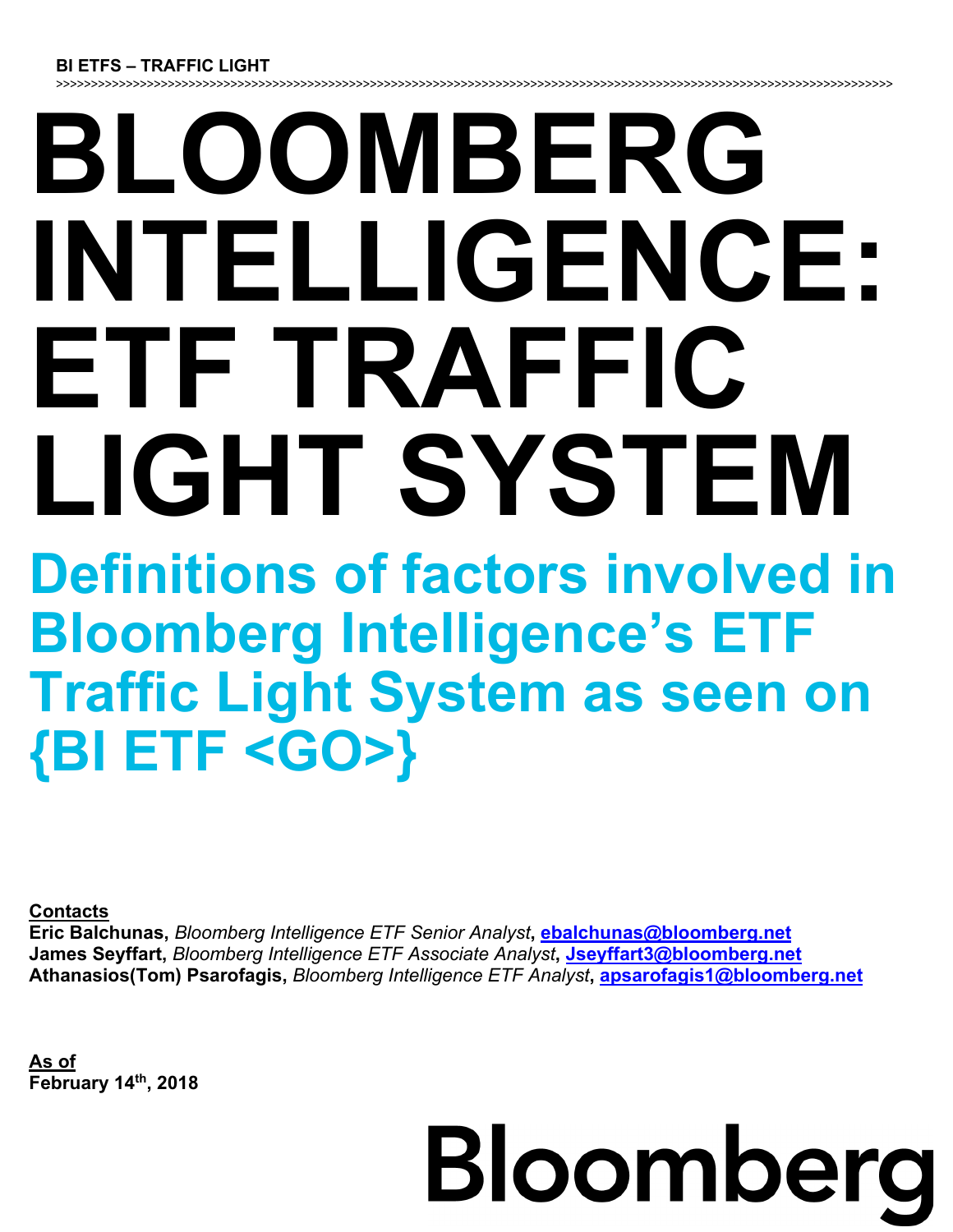#### **BI ETFS – TRAFFIC LIGHT**

>>>>>>>>>>>>>>>>>>>>>>>>>>>>>>>>>>>>>>>>>>>>>>>>>>>>>>>>>>>>>>>>>>>>>>>>>>>>>>>>>>>>>>>>>>>>>>>>>>>>>>>>>>>>>>>>>>>>>>>>

## **BLOOMBERG INTELLIGENCE: ETF TRAFFIC LIGHT SYSTEM**

**Definitions of factors involved in Bloomberg Intelligence's ETF Traffic Light System as seen on {BI ETF <GO>}** 

**Contacts**

**Eric Balchunas,** *Bloomberg Intelligence ETF Senior Analyst***, ebalchunas@bloomberg.net James Seyffart,** *Bloomberg Intelligence ETF Associate Analyst***, Jseyffart3@bloomberg.net Athanasios(Tom) Psarofagis,** *Bloomberg Intelligence ETF Analyst***, apsarofagis1@bloomberg.net**

**As of February 14th, 2018**

# Bloomberg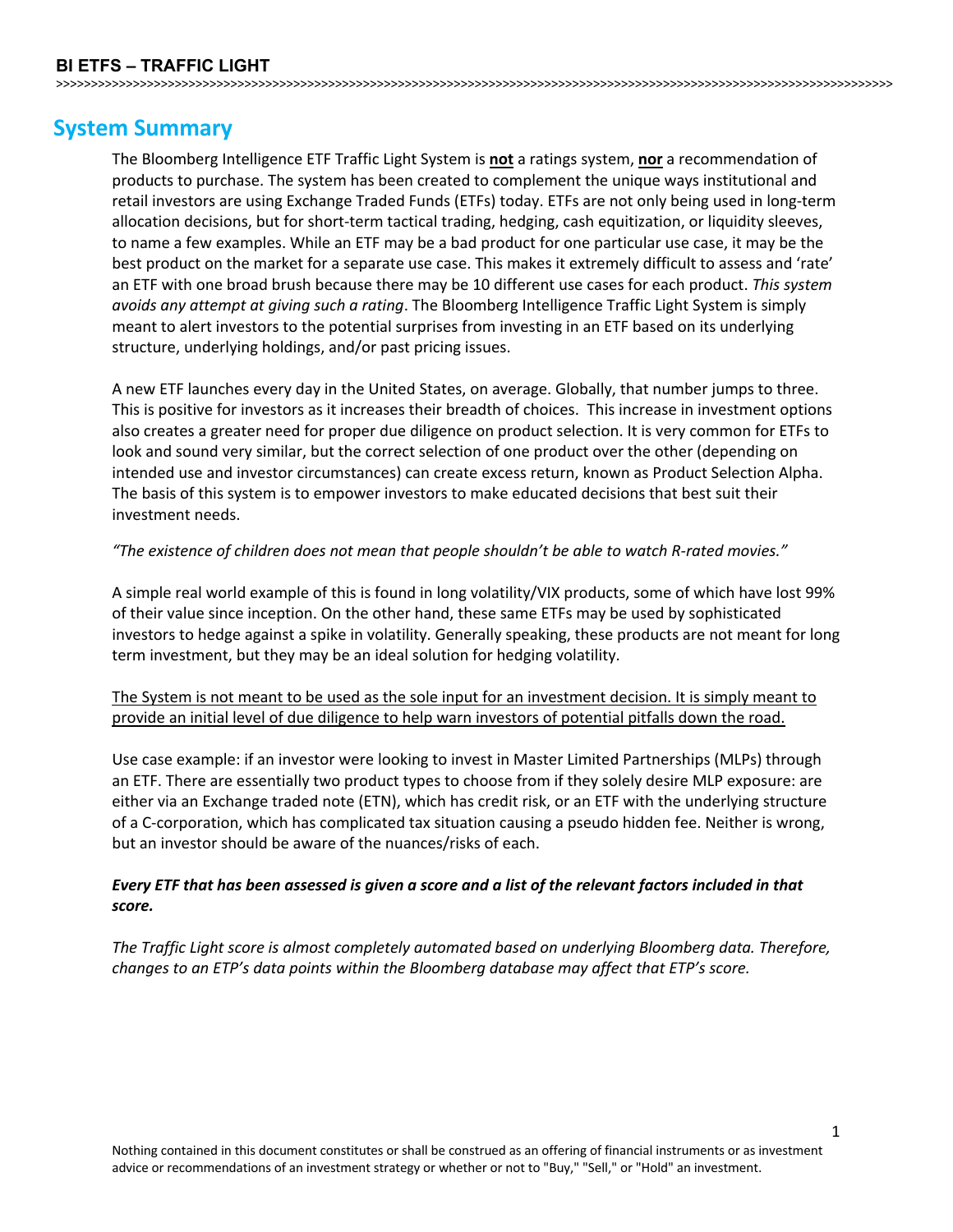## **System Summary**

The Bloomberg Intelligence ETF Traffic Light System is **not** a ratings system, **nor** a recommendation of products to purchase. The system has been created to complement the unique ways institutional and retail investors are using Exchange Traded Funds (ETFs) today. ETFs are not only being used in long-term allocation decisions, but for short-term tactical trading, hedging, cash equitization, or liquidity sleeves, to name a few examples. While an ETF may be a bad product for one particular use case, it may be the best product on the market for a separate use case. This makes it extremely difficult to assess and 'rate' an ETF with one broad brush because there may be 10 different use cases for each product. *This system avoids any attempt at giving such a rating*. The Bloomberg Intelligence Traffic Light System is simply meant to alert investors to the potential surprises from investing in an ETF based on its underlying structure, underlying holdings, and/or past pricing issues.

>>>>>>>>>>>>>>>>>>>>>>>>>>>>>>>>>>>>>>>>>>>>>>>>>>>>>>>>>>>>>>>>>>>>>>>>>>>>>>>>>>>>>>>>>>>>>>>>>>>>>>>>>>>>>>>>>>>>>>>>

A new ETF launches every day in the United States, on average. Globally, that number jumps to three. This is positive for investors as it increases their breadth of choices. This increase in investment options also creates a greater need for proper due diligence on product selection. It is very common for ETFs to look and sound very similar, but the correct selection of one product over the other (depending on intended use and investor circumstances) can create excess return, known as Product Selection Alpha. The basis of this system is to empower investors to make educated decisions that best suit their investment needs.

#### *"The existence of children does not mean that people shouldn't be able to watch R-rated movies."*

A simple real world example of this is found in long volatility/VIX products, some of which have lost 99% of their value since inception. On the other hand, these same ETFs may be used by sophisticated investors to hedge against a spike in volatility. Generally speaking, these products are not meant for long term investment, but they may be an ideal solution for hedging volatility.

#### The System is not meant to be used as the sole input for an investment decision. It is simply meant to provide an initial level of due diligence to help warn investors of potential pitfalls down the road.

Use case example: if an investor were looking to invest in Master Limited Partnerships (MLPs) through an ETF. There are essentially two product types to choose from if they solely desire MLP exposure: are either via an Exchange traded note (ETN), which has credit risk, or an ETF with the underlying structure of a C-corporation, which has complicated tax situation causing a pseudo hidden fee. Neither is wrong, but an investor should be aware of the nuances/risks of each.

#### *Every ETF that has been assessed is given a score and a list of the relevant factors included in that score.*

*The Traffic Light score is almost completely automated based on underlying Bloomberg data. Therefore, changes to an ETP's data points within the Bloomberg database may affect that ETP's score.*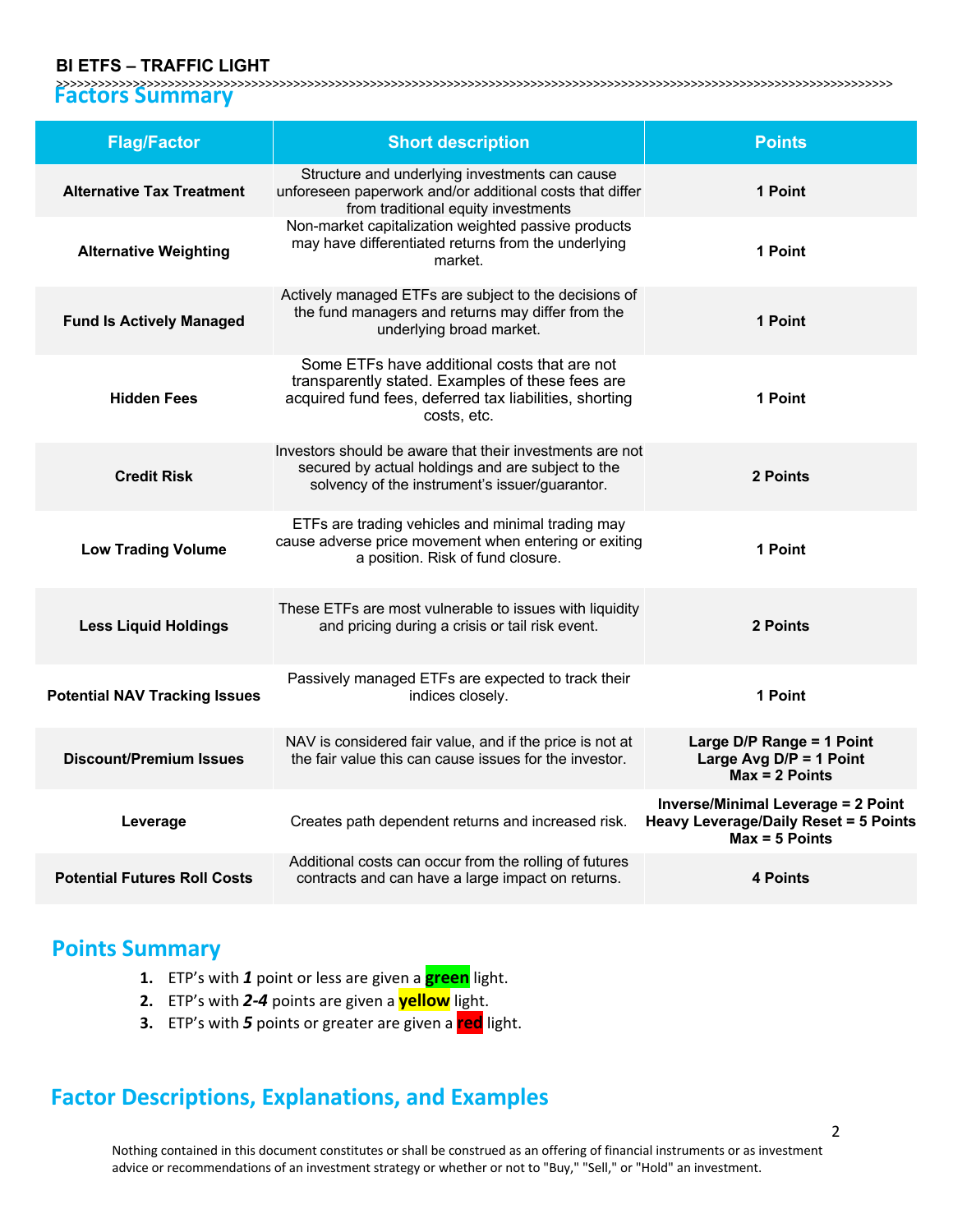#### **BI ETFS – TRAFFIC LIGHT**

>>>>>>>>>>>>>>>>>>>>>>>>>>>>>>>>>>>>>>>>>>>>>>>>>>>>>>>>>>>>>>>>>>>>>>>>>>>>>>>>>>>>>>>>>>>>>>>>>>>>>>>>>>>>>>>>>>>>>>>> **Factors Summary**

| <b>Flag/Factor</b>                   | <b>Short description</b>                                                                                                                                                  | <b>Points</b>                                                                                                 |
|--------------------------------------|---------------------------------------------------------------------------------------------------------------------------------------------------------------------------|---------------------------------------------------------------------------------------------------------------|
| <b>Alternative Tax Treatment</b>     | Structure and underlying investments can cause<br>unforeseen paperwork and/or additional costs that differ<br>from traditional equity investments                         | 1 Point                                                                                                       |
| <b>Alternative Weighting</b>         | Non-market capitalization weighted passive products<br>may have differentiated returns from the underlying<br>market.                                                     | 1 Point                                                                                                       |
| <b>Fund Is Actively Managed</b>      | Actively managed ETFs are subject to the decisions of<br>the fund managers and returns may differ from the<br>underlying broad market.                                    | 1 Point                                                                                                       |
| <b>Hidden Fees</b>                   | Some ETFs have additional costs that are not<br>transparently stated. Examples of these fees are<br>acquired fund fees, deferred tax liabilities, shorting<br>costs, etc. | 1 Point                                                                                                       |
| <b>Credit Risk</b>                   | Investors should be aware that their investments are not<br>secured by actual holdings and are subject to the<br>solvency of the instrument's issuer/guarantor.           | 2 Points                                                                                                      |
| <b>Low Trading Volume</b>            | ETFs are trading vehicles and minimal trading may<br>cause adverse price movement when entering or exiting<br>a position. Risk of fund closure.                           | 1 Point                                                                                                       |
| <b>Less Liquid Holdings</b>          | These ETFs are most vulnerable to issues with liquidity<br>and pricing during a crisis or tail risk event.                                                                | 2 Points                                                                                                      |
| <b>Potential NAV Tracking Issues</b> | Passively managed ETFs are expected to track their<br>indices closely.                                                                                                    | 1 Point                                                                                                       |
| <b>Discount/Premium Issues</b>       | NAV is considered fair value, and if the price is not at<br>the fair value this can cause issues for the investor.                                                        | Large D/P Range = 1 Point<br>Large Avg $D/P = 1$ Point<br>$Max = 2$ Points                                    |
| Leverage                             | Creates path dependent returns and increased risk.                                                                                                                        | <b>Inverse/Minimal Leverage = 2 Point</b><br><b>Heavy Leverage/Daily Reset = 5 Points</b><br>$Max = 5$ Points |
| <b>Potential Futures Roll Costs</b>  | Additional costs can occur from the rolling of futures<br>contracts and can have a large impact on returns.                                                               | <b>4 Points</b>                                                                                               |

### **Points Summary**

- **1.** ETP's with *1* point or less are given a **green** light.
- **2.** ETP's with *2-4* points are given a **yellow** light.
- **3.** ETP's with *5* points or greater are given a **red** light.

## **Factor Descriptions, Explanations, and Examples**

Nothing contained in this document constitutes or shall be construed as an offering of financial instruments or as investment advice or recommendations of an investment strategy or whether or not to "Buy," "Sell," or "Hold" an investment.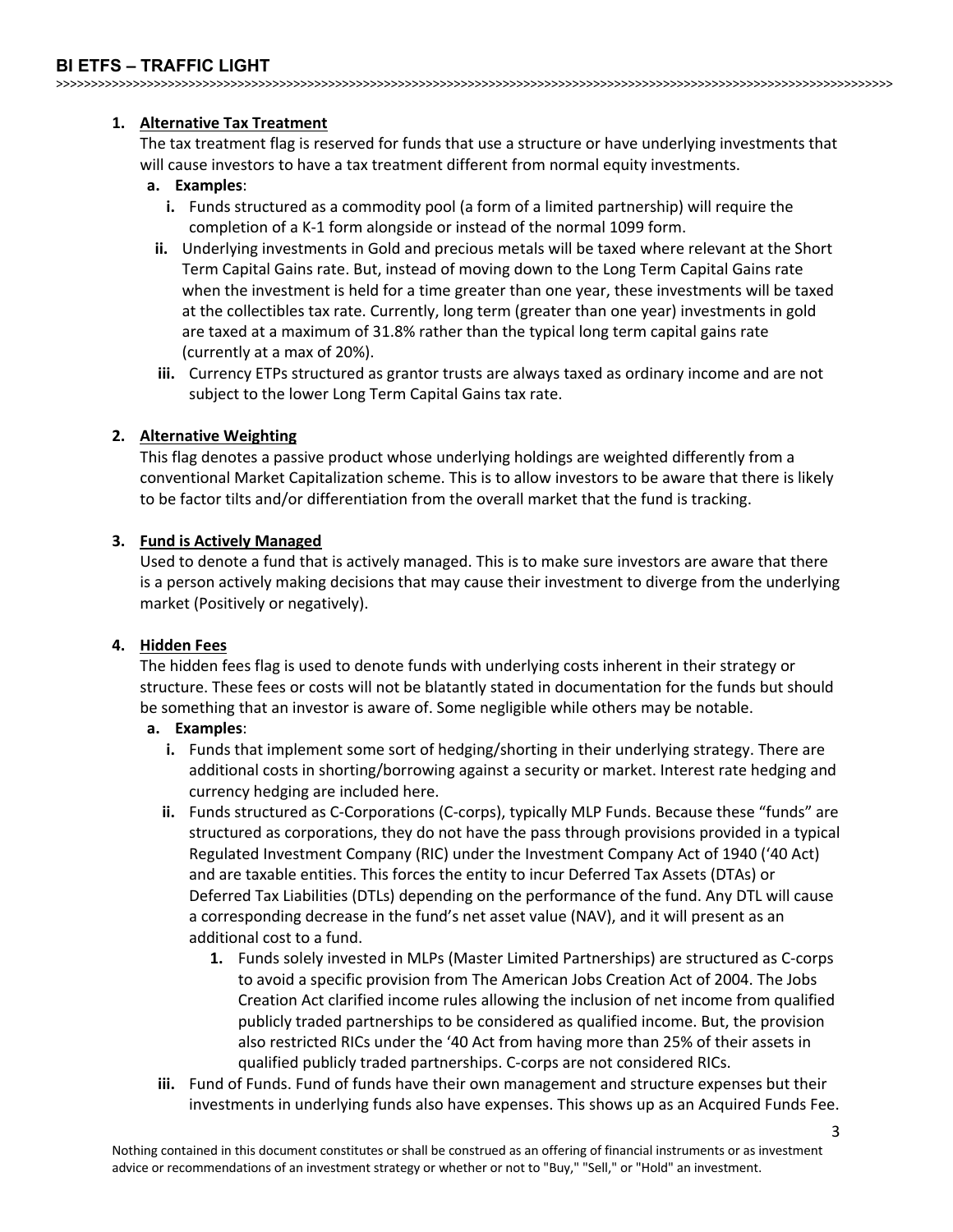#### **BI ETFS – TRAFFIC LIGHT**

>>>>>>>>>>>>>>>>>>>>>>>>>>>>>>>>>>>>>>>>>>>>>>>>>>>>>>>>>>>>>>>>>>>>>>>>>>>>>>>>>>>>>>>>>>>>>>>>>>>>>>>>>>>>>>>>>>>>>>>>

#### **1. Alternative Tax Treatment**

The tax treatment flag is reserved for funds that use a structure or have underlying investments that will cause investors to have a tax treatment different from normal equity investments.

#### **a. Examples**:

- **i.** Funds structured as a commodity pool (a form of a limited partnership) will require the completion of a K-1 form alongside or instead of the normal 1099 form.
- **ii.** Underlying investments in Gold and precious metals will be taxed where relevant at the Short Term Capital Gains rate. But, instead of moving down to the Long Term Capital Gains rate when the investment is held for a time greater than one year, these investments will be taxed at the collectibles tax rate. Currently, long term (greater than one year) investments in gold are taxed at a maximum of 31.8% rather than the typical long term capital gains rate (currently at a max of 20%).
- **iii.** Currency ETPs structured as grantor trusts are always taxed as ordinary income and are not subject to the lower Long Term Capital Gains tax rate.

#### **2. Alternative Weighting**

This flag denotes a passive product whose underlying holdings are weighted differently from a conventional Market Capitalization scheme. This is to allow investors to be aware that there is likely to be factor tilts and/or differentiation from the overall market that the fund is tracking.

#### **3. Fund is Actively Managed**

Used to denote a fund that is actively managed. This is to make sure investors are aware that there is a person actively making decisions that may cause their investment to diverge from the underlying market (Positively or negatively).

#### **4. Hidden Fees**

The hidden fees flag is used to denote funds with underlying costs inherent in their strategy or structure. These fees or costs will not be blatantly stated in documentation for the funds but should be something that an investor is aware of. Some negligible while others may be notable.

#### **a. Examples**:

- **i.** Funds that implement some sort of hedging/shorting in their underlying strategy. There are additional costs in shorting/borrowing against a security or market. Interest rate hedging and currency hedging are included here.
- **ii.** Funds structured as C-Corporations (C-corps), typically MLP Funds. Because these "funds" are structured as corporations, they do not have the pass through provisions provided in a typical Regulated Investment Company (RIC) under the Investment Company Act of 1940 ('40 Act) and are taxable entities. This forces the entity to incur Deferred Tax Assets (DTAs) or Deferred Tax Liabilities (DTLs) depending on the performance of the fund. Any DTL will cause a corresponding decrease in the fund's net asset value (NAV), and it will present as an additional cost to a fund.
	- **1.** Funds solely invested in MLPs (Master Limited Partnerships) are structured as C-corps to avoid a specific provision from The American Jobs Creation Act of 2004. The Jobs Creation Act clarified income rules allowing the inclusion of net income from qualified publicly traded partnerships to be considered as qualified income. But, the provision also restricted RICs under the '40 Act from having more than 25% of their assets in qualified publicly traded partnerships. C-corps are not considered RICs.
- **iii.** Fund of Funds. Fund of funds have their own management and structure expenses but their investments in underlying funds also have expenses. This shows up as an Acquired Funds Fee.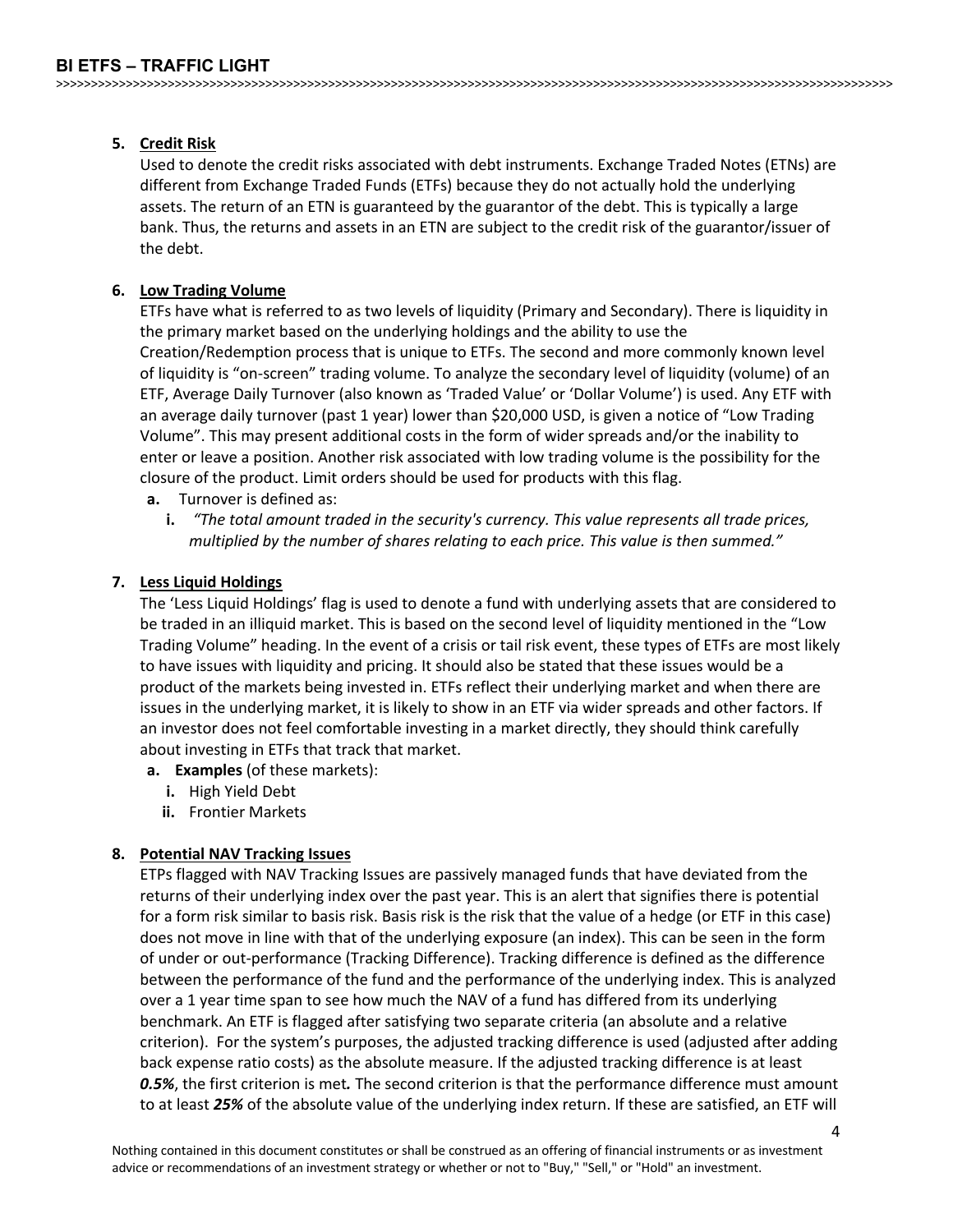#### **5. Credit Risk**

Used to denote the credit risks associated with debt instruments. Exchange Traded Notes (ETNs) are different from Exchange Traded Funds (ETFs) because they do not actually hold the underlying assets. The return of an ETN is guaranteed by the guarantor of the debt. This is typically a large bank. Thus, the returns and assets in an ETN are subject to the credit risk of the guarantor/issuer of the debt.

#### **6. Low Trading Volume**

ETFs have what is referred to as two levels of liquidity (Primary and Secondary). There is liquidity in the primary market based on the underlying holdings and the ability to use the Creation/Redemption process that is unique to ETFs. The second and more commonly known level of liquidity is "on-screen" trading volume. To analyze the secondary level of liquidity (volume) of an ETF, Average Daily Turnover (also known as 'Traded Value' or 'Dollar Volume') is used. Any ETF with an average daily turnover (past 1 year) lower than \$20,000 USD, is given a notice of "Low Trading Volume". This may present additional costs in the form of wider spreads and/or the inability to enter or leave a position. Another risk associated with low trading volume is the possibility for the closure of the product. Limit orders should be used for products with this flag.

- **a.** Turnover is defined as:
	- **i.** *"The total amount traded in the security's currency. This value represents all trade prices, multiplied by the number of shares relating to each price. This value is then summed."*

#### **7. Less Liquid Holdings**

The 'Less Liquid Holdings' flag is used to denote a fund with underlying assets that are considered to be traded in an illiquid market. This is based on the second level of liquidity mentioned in the "Low Trading Volume" heading. In the event of a crisis or tail risk event, these types of ETFs are most likely to have issues with liquidity and pricing. It should also be stated that these issues would be a product of the markets being invested in. ETFs reflect their underlying market and when there are issues in the underlying market, it is likely to show in an ETF via wider spreads and other factors. If an investor does not feel comfortable investing in a market directly, they should think carefully about investing in ETFs that track that market.

- **a. Examples** (of these markets):
	- **i.** High Yield Debt
	- **ii.** Frontier Markets

#### **8. Potential NAV Tracking Issues**

ETPs flagged with NAV Tracking Issues are passively managed funds that have deviated from the returns of their underlying index over the past year. This is an alert that signifies there is potential for a form risk similar to basis risk. Basis risk is the risk that the value of a hedge (or ETF in this case) does not move in line with that of the underlying exposure (an index). This can be seen in the form of under or out-performance (Tracking Difference). Tracking difference is defined as the difference between the performance of the fund and the performance of the underlying index. This is analyzed over a 1 year time span to see how much the NAV of a fund has differed from its underlying benchmark. An ETF is flagged after satisfying two separate criteria (an absolute and a relative criterion). For the system's purposes, the adjusted tracking difference is used (adjusted after adding back expense ratio costs) as the absolute measure. If the adjusted tracking difference is at least *0.5%*, the first criterion is met*.* The second criterion is that the performance difference must amount to at least *25%* of the absolute value of the underlying index return. If these are satisfied, an ETF will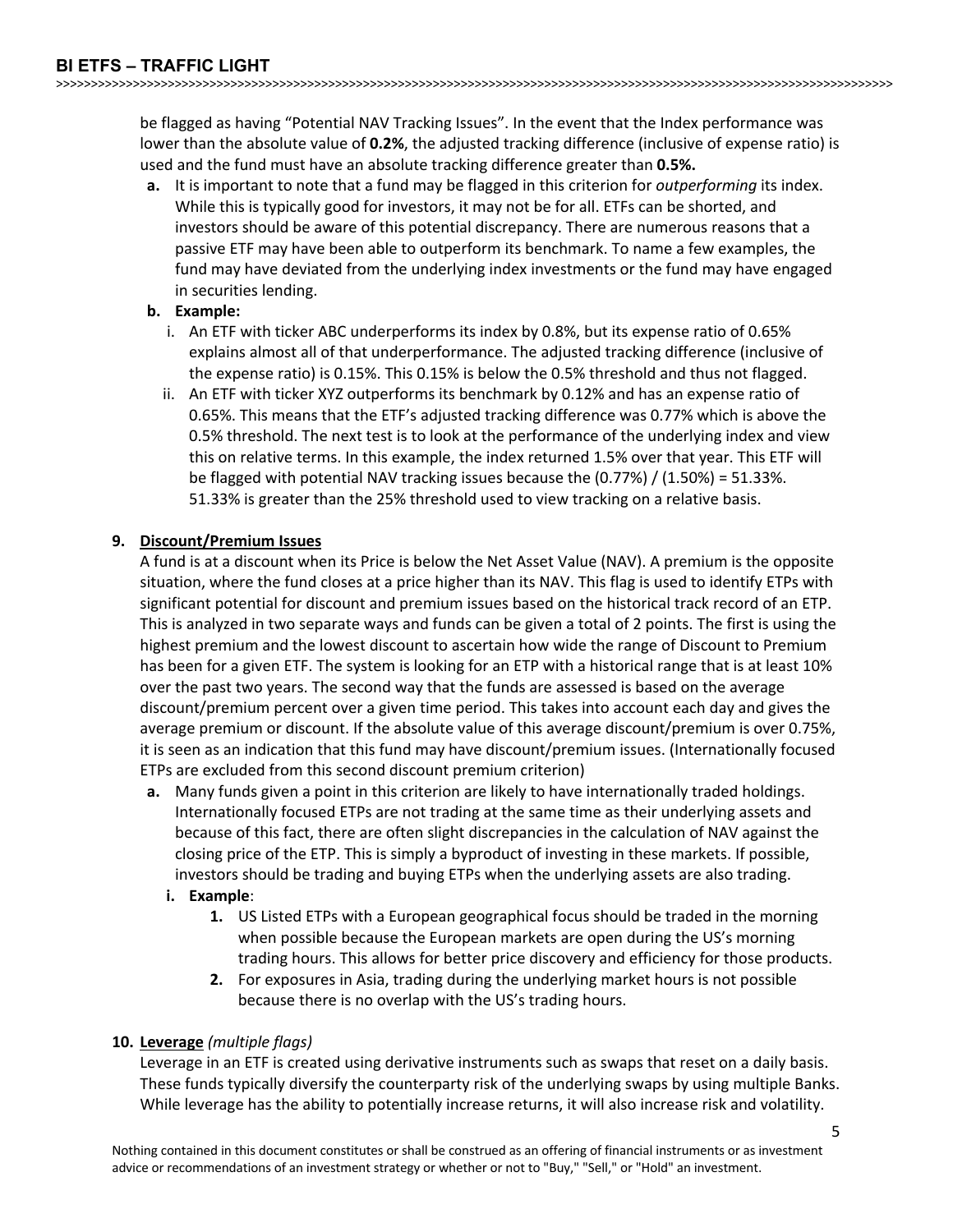be flagged as having "Potential NAV Tracking Issues". In the event that the Index performance was lower than the absolute value of **0.2%**, the adjusted tracking difference (inclusive of expense ratio) is used and the fund must have an absolute tracking difference greater than **0.5%.**

**a.** It is important to note that a fund may be flagged in this criterion for *outperforming* its index. While this is typically good for investors, it may not be for all. ETFs can be shorted, and investors should be aware of this potential discrepancy. There are numerous reasons that a passive ETF may have been able to outperform its benchmark. To name a few examples, the fund may have deviated from the underlying index investments or the fund may have engaged in securities lending.

#### **b. Example:**

- i. An ETF with ticker ABC underperforms its index by 0.8%, but its expense ratio of 0.65% explains almost all of that underperformance. The adjusted tracking difference (inclusive of the expense ratio) is 0.15%. This 0.15% is below the 0.5% threshold and thus not flagged.
- ii. An ETF with ticker XYZ outperforms its benchmark by 0.12% and has an expense ratio of 0.65%. This means that the ETF's adjusted tracking difference was 0.77% which is above the 0.5% threshold. The next test is to look at the performance of the underlying index and view this on relative terms. In this example, the index returned 1.5% over that year. This ETF will be flagged with potential NAV tracking issues because the (0.77%) / (1.50%) = 51.33%. 51.33% is greater than the 25% threshold used to view tracking on a relative basis.

#### **9. Discount/Premium Issues**

A fund is at a discount when its Price is below the Net Asset Value (NAV). A premium is the opposite situation, where the fund closes at a price higher than its NAV. This flag is used to identify ETPs with significant potential for discount and premium issues based on the historical track record of an ETP. This is analyzed in two separate ways and funds can be given a total of 2 points. The first is using the highest premium and the lowest discount to ascertain how wide the range of Discount to Premium has been for a given ETF. The system is looking for an ETP with a historical range that is at least 10% over the past two years. The second way that the funds are assessed is based on the average discount/premium percent over a given time period. This takes into account each day and gives the average premium or discount. If the absolute value of this average discount/premium is over 0.75%, it is seen as an indication that this fund may have discount/premium issues. (Internationally focused ETPs are excluded from this second discount premium criterion)

- **a.** Many funds given a point in this criterion are likely to have internationally traded holdings. Internationally focused ETPs are not trading at the same time as their underlying assets and because of this fact, there are often slight discrepancies in the calculation of NAV against the closing price of the ETP. This is simply a byproduct of investing in these markets. If possible, investors should be trading and buying ETPs when the underlying assets are also trading.
	- **i. Example**:
		- **1.** US Listed ETPs with a European geographical focus should be traded in the morning when possible because the European markets are open during the US's morning trading hours. This allows for better price discovery and efficiency for those products.
		- **2.** For exposures in Asia, trading during the underlying market hours is not possible because there is no overlap with the US's trading hours.

#### **10. Leverage** *(multiple flags)*

Leverage in an ETF is created using derivative instruments such as swaps that reset on a daily basis. These funds typically diversify the counterparty risk of the underlying swaps by using multiple Banks. While leverage has the ability to potentially increase returns, it will also increase risk and volatility.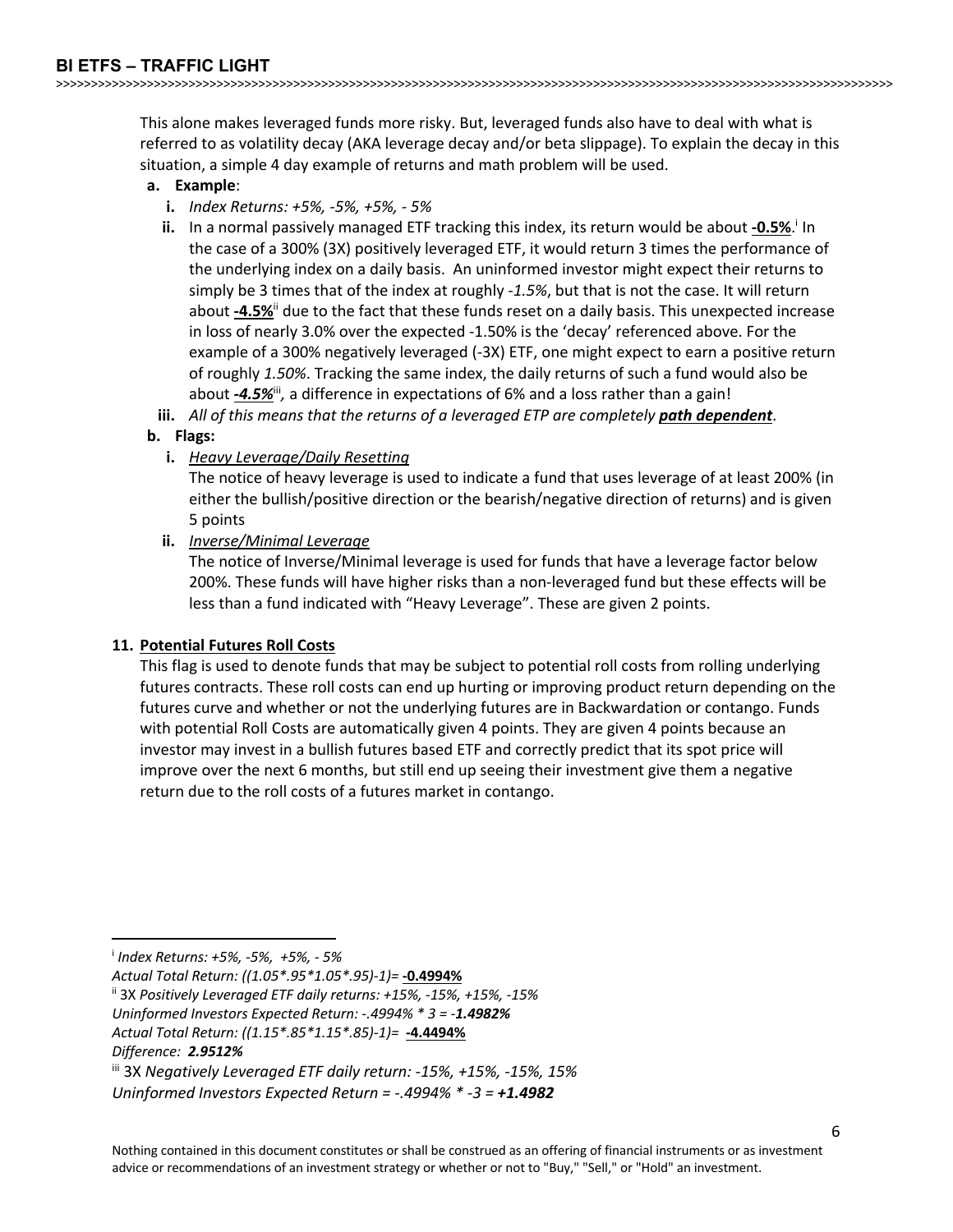This alone makes leveraged funds more risky. But, leveraged funds also have to deal with what is referred to as volatility decay (AKA leverage decay and/or beta slippage). To explain the decay in this situation, a simple 4 day example of returns and math problem will be used.

>>>>>>>>>>>>>>>>>>>>>>>>>>>>>>>>>>>>>>>>>>>>>>>>>>>>>>>>>>>>>>>>>>>>>>>>>>>>>>>>>>>>>>>>>>>>>>>>>>>>>>>>>>>>>>>>>>>>>>>>

#### **a. Example**:

- **i.** *Index Returns: +5%, -5%, +5%, - 5%*
- ii. In a normal passively managed ETF tracking this index, its return would be about -0.5%.<sup>i</sup> In the case of a 300% (3X) positively leveraged ETF, it would return 3 times the performance of the underlying index on a daily basis. An uninformed investor might expect their returns to simply be 3 times that of the index at roughly *-1.5%*, but that is not the case. It will return about **-4.5%**ii due to the fact that these funds reset on a daily basis. This unexpected increase in loss of nearly 3.0% over the expected -1.50% is the 'decay' referenced above. For the example of a 300% negatively leveraged (-3X) ETF, one might expect to earn a positive return of roughly *1.50%*. Tracking the same index, the daily returns of such a fund would also be about *-4.5%*<sup>ii</sup>, a difference in expectations of 6% and a loss rather than a gain!
- **iii.** *All of this means that the returns of a leveraged ETP are completely path dependent*.

#### **b. Flags:**

**i.** *Heavy Leverage/Daily Resetting*

The notice of heavy leverage is used to indicate a fund that uses leverage of at least 200% (in either the bullish/positive direction or the bearish/negative direction of returns) and is given 5 points

**ii.** *Inverse/Minimal Leverage*

The notice of Inverse/Minimal leverage is used for funds that have a leverage factor below 200%. These funds will have higher risks than a non-leveraged fund but these effects will be less than a fund indicated with "Heavy Leverage". These are given 2 points.

#### **11. Potential Futures Roll Costs**

This flag is used to denote funds that may be subject to potential roll costs from rolling underlying futures contracts. These roll costs can end up hurting or improving product return depending on the futures curve and whether or not the underlying futures are in Backwardation or contango. Funds with potential Roll Costs are automatically given 4 points. They are given 4 points because an investor may invest in a bullish futures based ETF and correctly predict that its spot price will improve over the next 6 months, but still end up seeing their investment give them a negative return due to the roll costs of a futures market in contango.

i *Index Returns: +5%, -5%, +5%, - 5%*

*Actual Total Return: ((1.05\*.95\*1.05\*.95)-1)=* **-0.4994%**

ii 3X *Positively Leveraged ETF daily returns: +15%, -15%, +15%, -15%*

*Uninformed Investors Expected Return: -.4994% \* 3 = -1.4982%*

*Actual Total Return: ((1.15\*.85\*1.15\*.85)-1)=* **-4.4494%**

*Difference: 2.9512%*

iii 3X *Negatively Leveraged ETF daily return: -15%, +15%, -15%, 15% Uninformed Investors Expected Return = -.4994% \* -3 = +1.4982*